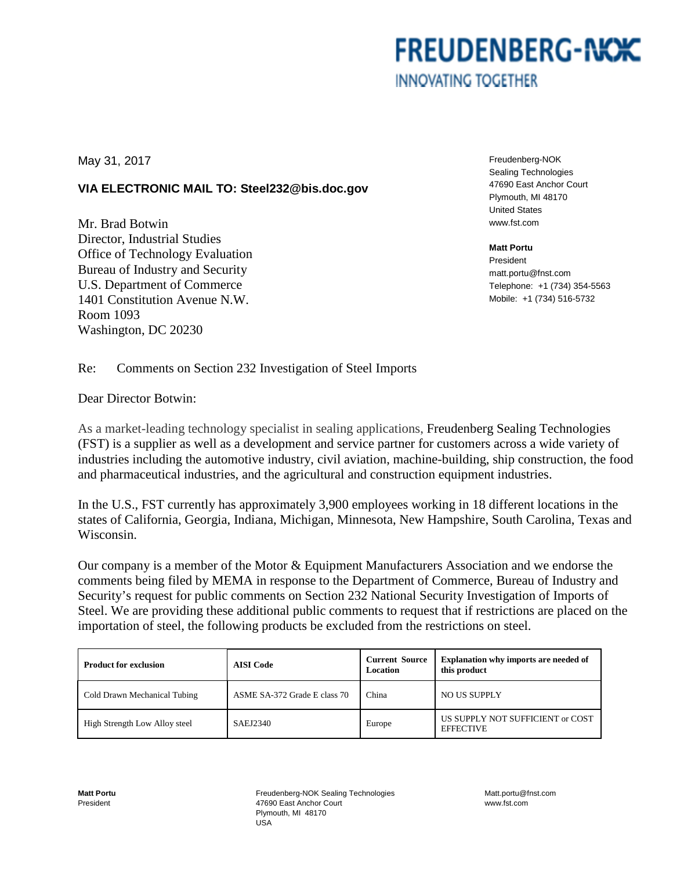# **FREUDENBERG-NOK INNOVATING TOGETHER**

May 31, 2017

## **VIA ELECTRONIC MAIL TO: Steel232@bis.doc.gov**

Mr. Brad Botwin Director, Industrial Studies Office of Technology Evaluation Bureau of Industry and Security U.S. Department of Commerce 1401 Constitution Avenue N.W. Room 1093 Washington, DC 20230

Freudenberg-NOK Sealing Technologies 47690 East Anchor Court Plymouth, MI 48170 United States www.fst.com

#### **Matt Portu**

President matt.portu@fnst.com Telephone: +1 (734) 354-5563 Mobile: +1 (734) 516-5732

### Re: Comments on Section 232 Investigation of Steel Imports

Dear Director Botwin:

As a market-leading technology specialist in sealing applications, Freudenberg Sealing Technologies (FST) is a supplier as well as a development and service partner for customers across a wide variety of industries including the automotive industry, civil aviation, machine-building, ship construction, the food and pharmaceutical industries, and the agricultural and construction equipment industries.

In the U.S., FST currently has approximately 3,900 employees working in 18 different locations in the states of California, Georgia, Indiana, Michigan, Minnesota, New Hampshire, South Carolina, Texas and Wisconsin.

Our company is a member of the Motor & Equipment Manufacturers Association and we endorse the comments being filed by MEMA in response to the Department of Commerce, Bureau of Industry and Security's request for public comments on Section 232 National Security Investigation of Imports of Steel. We are providing these additional public comments to request that if restrictions are placed on the importation of steel, the following products be excluded from the restrictions on steel.

| <b>Product for exclusion</b>  | <b>AISI</b> Code             | <b>Current Source</b><br>Location | <b>Explanation why imports are needed of</b><br>this product |
|-------------------------------|------------------------------|-----------------------------------|--------------------------------------------------------------|
| Cold Drawn Mechanical Tubing  | ASME SA-372 Grade E class 70 | China                             | NO US SUPPLY                                                 |
| High Strength Low Alloy steel | SAEJ2340                     | Europe                            | US SUPPLY NOT SUFFICIENT or COST<br><b>EFFECTIVE</b>         |

Freudenberg-NOK Sealing Technologies 47690 East Anchor Court Plymouth, MI 48170 USA